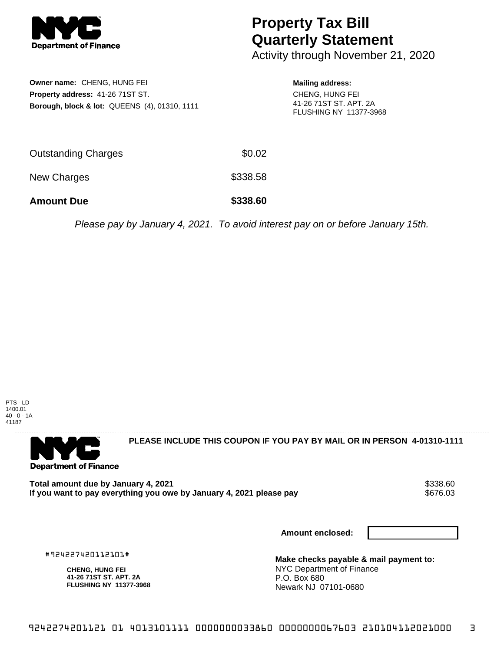

## **Property Tax Bill Quarterly Statement**

Activity through November 21, 2020

| Owner name: CHENG, HUNG FEI                              |
|----------------------------------------------------------|
| <b>Property address: 41-26 71ST ST.</b>                  |
| <b>Borough, block &amp; lot: QUEENS (4), 01310, 1111</b> |

## **Mailing address:** CHENG, HUNG FEI 41-26 71ST ST. APT. 2A FLUSHING NY 11377-3968

| <b>Amount Due</b>   | \$338.60 |
|---------------------|----------|
| New Charges         | \$338.58 |
| Outstanding Charges | \$0.02   |

Please pay by January 4, 2021. To avoid interest pay on or before January 15th.

PTS - LD 1400.01 40 - 0 - 1A 41187



**PLEASE INCLUDE THIS COUPON IF YOU PAY BY MAIL OR IN PERSON 4-01310-1111** 

Total amount due by January 4, 2021<br>If you want to pay everything you owe by January 4, 2021 please pay **show that the summan wave of the se**ffe.03 If you want to pay everything you owe by January 4, 2021 please pay

**Amount enclosed:**

#924227420112101#

**CHENG, HUNG FEI 41-26 71ST ST. APT. 2A FLUSHING NY 11377-3968** **Make checks payable & mail payment to:** NYC Department of Finance P.O. Box 680 Newark NJ 07101-0680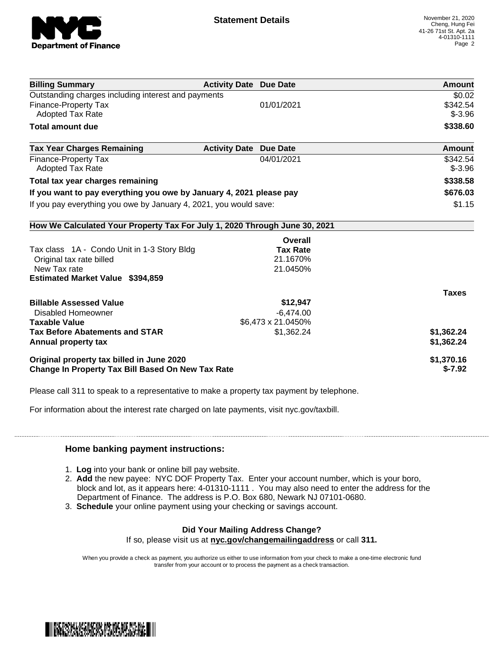

| <b>Billing Summary</b>                                                     | <b>Activity Date Due Date</b> | Amount       |
|----------------------------------------------------------------------------|-------------------------------|--------------|
| Outstanding charges including interest and payments                        |                               | \$0.02       |
| Finance-Property Tax                                                       | 01/01/2021                    | \$342.54     |
| <b>Adopted Tax Rate</b>                                                    |                               | $$-3.96$     |
| <b>Total amount due</b>                                                    |                               | \$338.60     |
| <b>Tax Year Charges Remaining</b>                                          | <b>Activity Date Due Date</b> | Amount       |
| <b>Finance-Property Tax</b>                                                | 04/01/2021                    | \$342.54     |
| <b>Adopted Tax Rate</b>                                                    |                               | $$-3.96$     |
| Total tax year charges remaining                                           |                               | \$338.58     |
| If you want to pay everything you owe by January 4, 2021 please pay        | \$676.03                      |              |
| If you pay everything you owe by January 4, 2021, you would save:          |                               | \$1.15       |
| How We Calculated Your Property Tax For July 1, 2020 Through June 30, 2021 |                               |              |
|                                                                            | Overall                       |              |
| Tax class 1A - Condo Unit in 1-3 Story Bldg                                | <b>Tax Rate</b>               |              |
| Original tax rate billed                                                   | 21.1670%                      |              |
| New Tax rate                                                               | 21.0450%                      |              |
| <b>Estimated Market Value \$394,859</b>                                    |                               |              |
|                                                                            |                               | <b>Taxes</b> |
| <b>Billable Assessed Value</b>                                             | \$12,947                      |              |
| <b>Disabled Homeowner</b>                                                  | $-6,474.00$                   |              |
| <b>Taxable Value</b>                                                       | \$6,473 x 21.0450%            |              |
| <b>Tax Before Abatements and STAR</b>                                      | \$1,362.24                    | \$1,362.24   |
| Annual property tax                                                        |                               | \$1,362.24   |
| Original property tax billed in June 2020                                  |                               | \$1,370.16   |
| <b>Change In Property Tax Bill Based On New Tax Rate</b>                   | $$-7.92$                      |              |

Please call 311 to speak to a representative to make a property tax payment by telephone.

For information about the interest rate charged on late payments, visit nyc.gov/taxbill.

## **Home banking payment instructions:**

- 1. **Log** into your bank or online bill pay website.
- 2. **Add** the new payee: NYC DOF Property Tax. Enter your account number, which is your boro, block and lot, as it appears here: 4-01310-1111 . You may also need to enter the address for the Department of Finance. The address is P.O. Box 680, Newark NJ 07101-0680.
- 3. **Schedule** your online payment using your checking or savings account.

## **Did Your Mailing Address Change?**

If so, please visit us at **nyc.gov/changemailingaddress** or call **311.**

When you provide a check as payment, you authorize us either to use information from your check to make a one-time electronic fund transfer from your account or to process the payment as a check transaction.